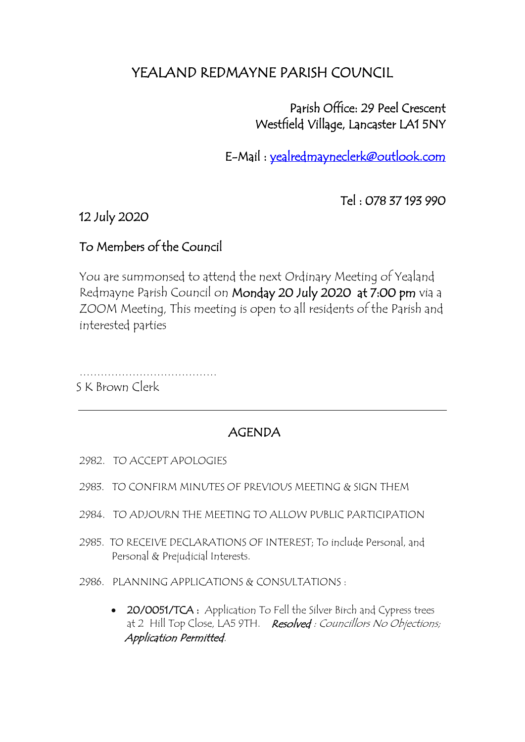# YEALAND REDMAYNE PARISH COUNCIL

### Parish Office: 29 Peel Crescent Westfield Village, Lancaster LA1 5NY

E-Mail : [yealredmayneclerk@outlook.com](mailto:yealredmayneclerk@outlook.com) 

Tel : 078 37 193 990

12 July 2020

#### To Members of the Council

You are summonsed to attend the next Ordinary Meeting of Yealand Redmayne Parish Council on Monday 20 July 2020 at 7:00 pm via a ZOOM Meeting, This meeting is open to all residents of the Parish and interested parties

………………………………… S K Brown Clerk

## AGENDA

- 2982. TO ACCEPT APOLOGIES
- 2983. TO CONFIRM MINUTES OF PREVIOUS MEETING & SIGN THEM
- 2984. TO ADJOURN THE MEETING TO ALLOW PUBLIC PARTICIPATION
- 2985. TO RECEIVE DECLARATIONS OF INTEREST; To include Personal, and Personal & Prejudicial Interests.
- 2986. PLANNING APPLICATIONS & CONSULTATIONS :
	- 20/0051/TCA: Application To Fell the Silver Birch and Cypress trees at 2 Hill Top Close, LA5 9TH. Resolved : Councillors No Objections; Application Permitted.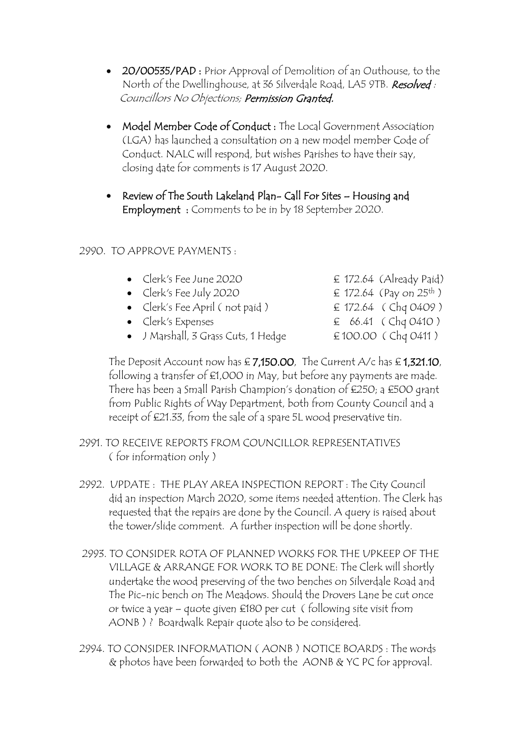- 20/00535/PAD : Prior Approval of Demolition of an Outhouse, to the North of the Dwellinghouse, at 36 Silverdale Road, LA5 9TB. Resolved: Councillors No Objections; Permission Granted.
- Model Member Code of Conduct : The Local Government Association (LGA) has launched a consultation on a new model member Code of Conduct. NALC will respond, but wishes Parishes to have their say, closing date for comments is 17 August 2020.
- Review of The South Lakeland Plan- Call For Sites Housing and Employment : Comments to be in by 18 September 2020.

#### 2990. TO APPROVE PAYMENTS :

- Clerk's Fee June 2020  $\epsilon$  172.64 (Already Paid)
- Clerk's Fee July 2020  $\epsilon$  172.64 (Pay on 25<sup>th</sup>)
- Clerk's Fee April (not paid)  $\qquad \qquad \text{£ } 172.64 \text{ } (ChqO4O9)$
- 
- J Marshall, 3 Grass Cuts, 1 Hedge  $\epsilon$  100.00 (Chq 0411)

• Clerk's Expenses  $\epsilon$  66.41 (Chq 0410)

The Deposit Account now has  $\epsilon$  7,150.00, The Current A/c has  $\epsilon$  1,321.10, following a transfer of £1,000 in May, but before any payments are made. There has been a Small Parish Champion's donation of £250; a £500 grant from Public Rights of Way Department, both from County Council and a receipt of £21.33, from the sale of a spare 5L wood preservative tin.

- 2991. TO RECEIVE REPORTS FROM COUNCILLOR REPRESENTATIVES ( for information only )
- 2992. UPDATE : THE PLAY AREA INSPECTION REPORT : The City Council did an inspection March 2020, some items needed attention. The Clerk has requested that the repairs are done by the Council. A query is raised about the tower/slide comment. A further inspection will be done shortly.
- 2993. TO CONSIDER ROTA OF PLANNED WORKS FOR THE UPKEEP OF THE VILLAGE & ARRANGE FOR WORK TO BE DONE: The Clerk will shortly undertake the wood preserving of the two benches on Silverdale Road and The Pic-nic bench on The Meadows. Should the Drovers Lane be cut once or twice a year – quote given £180 per cut ( following site visit from AONB ) ? Boardwalk Repair quote also to be considered.
- 2994. TO CONSIDER INFORMATION ( AONB ) NOTICE BOARDS : The words & photos have been forwarded to both the AONB & YC PC for approval.